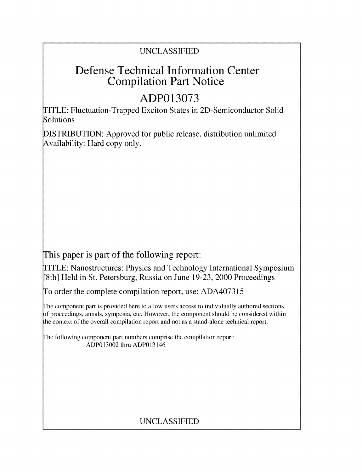# UNCLASSIFIED

# Defense Technical Information Center Compilation Part Notice

# **ADP013073**

TITLE: Fluctuation-Trapped Exciton States in 2D-Semiconductor Solid Solutions

DISTRIBUTION: Approved for public release, distribution unlimited Availability: Hard copy only.

This paper is part of the following report:

TITLE: Nanostructures: Physics and Technology International Symposium [8th] Held in St. Petersburg, Russia on June 19-23, 2000 Proceedings

To order the complete compilation report, use: ADA407315

The component part is provided here to allow users access to individually authored sections f proceedings, annals, symposia, etc. However, the component should be considered within the context of the overall compilation report and not as a stand-alone technical report.

The following component part numbers comprise the compilation report: ADP013002 thru ADP013146

# UNCLASSIFIED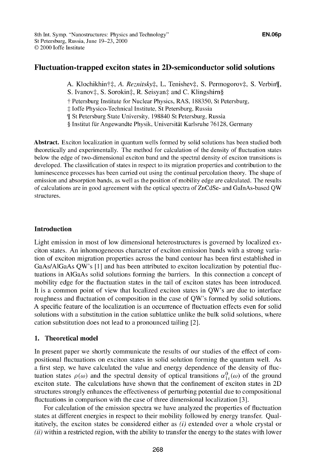# Fluctuation-trapped exciton states in 2D-semiconductor solid solutions

A. Klochikhin†‡, A. *Reznitsky*‡, L. Tenishev‡, S. Permogorov‡, S. Verbin¶,

S. Ivanov‡, S. Sorokin‡, R. Seisyan‡ and C. Klingshirn§

**T** Petersburg Institute for Nuclear Physics, RAS, 188350, St Petersburg,

-: Joffe Physico-Technical Institute, St Petersburg, Russia

[ St Petersburg State University, 198840 St Petersburg, Russia

§ Institut für Angewandte Physik, Universität Karlsruhe 76128, Germany

Abstract. Exciton localization in quantum wells formed by solid solutions has been studied both theoretically and experimentally. The method for calculation of the density of fluctuation states below the edge of two-dimensional exciton band and the spectral density of exciton transitions is developed. The classification of states in respect to its migration properties and contribution to the luminescence processes has been carried out using the continual percolation theory. The shape of emission and absorption bands, as well as the position of mobility edge are calculated. The results of calculations are in good agreement with the optical spectra of ZnCdSe- and GaInAs-based QW structures.

## Introduction

Light emission in most of low dimensional heterostructures is governed by localized exciton states. An inhomogeneous character of exciton emission bands with a strong variation of exciton migration properties across the band contour has been first established in GaAs/AlGaAs QW's [1] and has been attributed to exciton localization by potential fluctuations in A1GaAs solid solutions forming the barriers. In this connection a concept of mobility edge for the fluctuation states in the tail of exciton states has been introduced. It is a common point of view that localized exciton states in QW's are due to interface roughness and fluctuation of composition in the case of QW's formed by solid solutions. A specific feature of the localization is an occurrence of fluctuation effects even for solid solutions with a substitution in the cation sublattice unlike the bulk solid solutions, where cation substitution does not lead to a pronounced tailing [2 **1.**

# 1. Theoretical model

In present paper we shortly communicate the results of our studies of the effect of compositional fluctuations on exciton states in solid solution forming the quantum well. As a first step, we have calculated the value and energy dependence of the density of fluctuation states  $\rho(\omega)$  and the spectral density of optical transitions  $\alpha_{1s}^{0}(\omega)$  of the ground exciton state. The calculations have shown that the confinement of exciton states in 2D structures strongly enhances the effectiveness of perturbing potential due to compositional fluctuations in comparison with the case of three dimensional localization [3].

For calculation of the emission spectra we have analyzed the properties of fluctuation states at different energies in respect to their mobility followed by energy transfer. Qualitatively, the exciton states be considered either as  $(i)$  extended over a whole crystal or  $(ii)$  within a restricted region, with the ability to transfer the energy to the states with lower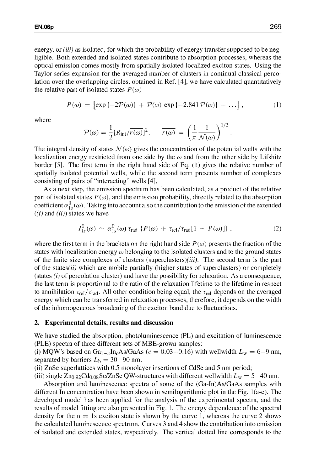energy, or *(iii)* as isolated, for which the probability of energy transfer supposed to be negligible. Both extended and isolated states contribute to absorption processes, whereas the optical emission comes mostly from spatially isolated localized exciton states. Using the Taylor series expansion for the averaged number of clusters in continual classical percolation over the overlapping circles, obtained in Ref. [41, we have calculated quantitatively the relative part of isolated states  $P(\omega)$ 

$$
P(\omega) = \left[ \exp\{-2\mathcal{P}(\omega)\} + \mathcal{P}(\omega) \exp\{-2.841\mathcal{P}(\omega)\} + \ldots \right],\tag{1}
$$

where

$$
\mathcal{P}(\omega) = \frac{1}{2} [R_{int}/\overline{r(\omega)}]^2, \quad \overline{r(\omega)} = \left(\frac{1}{\pi} \frac{1}{\mathcal{N}(\omega)}\right)^{1/2}.
$$

The integral density of states  $\mathcal{N}(\omega)$  gives the concentration of the potential wells with the localization energy restricted from one side by the  $\omega$  and from the other side by Lifshitz border [5]. The first term in the right hand side of Eq. (1) gives the relative number of spatially isolated potential wells, while the second term presents number of complexes consisting of pairs of "interacting" wells [41.

As a next step, the emission spectrum has been calculated, as a product of the relative part of isolated states  $P(\omega)$ , and the emission probability, directly related to the absorption coefficient  $\alpha_{1}^{0}(\omega)$ . Taking into account also the contribution to the emission of the extended  $((i)$  and  $(ii))$  states we have

$$
I_{1s}^{0}(\omega) \sim \alpha_{1s}^{0}(\omega) \tau_{\text{rad}} \{ P(\omega) + \tau_{\text{rel}} / \tau_{\text{rad}} [1 - P(\omega)] \}, \qquad (2)
$$

where the first term in the brackets on the right hand side  $P(\omega)$  presents the fraction of the states with localization energy  $\omega$  belonging to the isolated clusters and to the ground states of the finite size complexes of clusters (superclusters)(iii). The second term is the part of the states $(ii)$  which are mobile partially (higher states of superclusters) or completely (states  $(i)$  of percolation cluster) and have the possibility for relaxation. As a consequence, the last term is proportional to the ratio of the relaxation lifetime to the lifetime in respect to annihilation  $\tau_{rel}/\tau_{rad}$ . All other condition being equal, the  $\tau_{rel}$  depends on the averaged energy which can be transferred in relaxation processes, therefore, it depends on the width of the inhomogeneous broadening of the exciton band due to fluctuations.

#### 2. Experimental details, results and discussion

We have studied the absorption, photoluminescence (PL) and excitation of luminescence (PLE) spectra of three different sets of MBE-grown samples:

(i) MQW's based on  $Ga_{1-c}In_cAs/GaAs$  ( $c = 0.03-0.16$ ) with wellwidth  $L_w = 6-9$  nm, separated by barriers  $L<sub>b</sub> = 30-90$  nm;

(ii) ZnSe superlattices with 0.5 monolayer insertions of CdSe and 5 nm period;

(iii) single  $\overline{Z}_{0.92}$ Cd<sub>0.08</sub>Se/ZnSe QW-structures with different wellwidth  $L_w = 5-40$  nm.

Absorption and luminescence spectra of some of the (Ga-Jn)As/GaAs samples with different In concentration have been shown in semilogarithmic plot in the Fig. 1(a-c). The developed model has been applied for the analysis of the experimental spectra, and the results of model fitting are also presented in Fig. 1. The energy dependence of the spectral density for the  $n = 1$ s exciton state is shown by the curve 1, whereas the curve 2 shows the calculated luminescence spectrum. Curves 3 and 4 show the contribution into emission of isolated and extended states, respectively. The vertical dotted line corresponds to the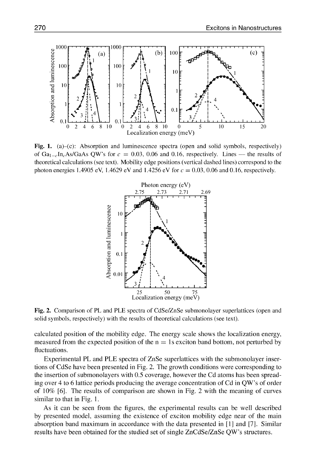

Fig. 1. (a)-(c): Absorption and luminescence spectra (open and solid symbols, respectively) of  $Ga_{1-c}In_cAs/GaAs QW$ 's for  $c = 0.03, 0.06$  and 0.16, respectively. Lines – the results of theoretical calculations (see text). Mobility edge positions (vertical dashed lines) correspond to the photon energies 1.4905 eV, 1.4629 eV and 1.4256 eV for *c* = 0.03, 0.06 and 0.16, respectively.



Fig. 2. Comparison of PL and PLE spectra of CdSe/ZnSe submonolayer superlattices (open and solid symbols, respectively) with the results of theoretical calculations (see text).

calculated position of the mobility edge. The energy scale shows the localization energy, measured from the expected position of the  $n = 1s$  exciton band bottom, not perturbed by fluctuations.

Experimental PL and PLE spectra of ZnSe superlattices with the submonolayer insertions of CdSe have been presented in Fig. 2. The growth conditions were corresponding to the insertion of submonolayers with 0.5 coverage, however the Cd atoms has been spreading over 4 to 6 lattice periods producing the average concentration of Cd in QW's of order of 10% [61. The results of comparison are shown in Fig. 2 with the meaning of curves similar to that in Fig. **1.**

As it can be seen from the figures, the experimental results can be well described by presented model, assuming the existence of exciton mobility edge near of the main absorption band maximum in accordance with the data presented in **[I I** and [71. Similar results have been obtained for the studied set of single ZnCdSe/ZnSe QW's structures.